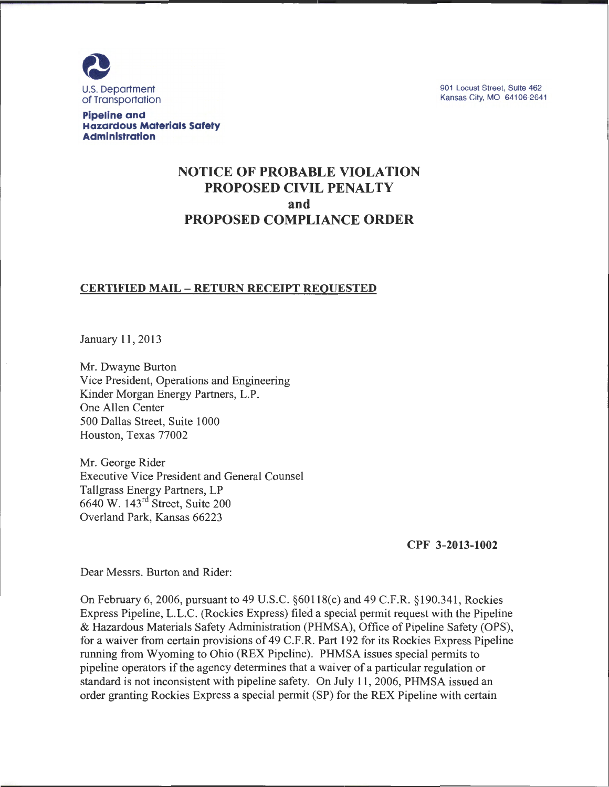

901 Locust Street, Suite 462 Kansas City, MO 64106-2641

**Pipeline and Hazardous Materials Safety Administration** 

# **NOTICE OF PROBABLE VIOLATION PROPOSED CIVIL PENALTY and PROPOSED COMPLIANCE ORDER**

### **CERTIFIED MAIL- RETURN RECEIPT REQUESTED**

January 11 , 2013

Mr. Dwayne Burton Vice President, Operations and Engineering Kinder Morgan Energy Partners, L.P. One Allen Center 500 Dallas Street, Suite 1000 Houston, Texas 77002

Mr. George Rider Executive Vice President and General Counsel Tallgrass Energy Partners, LP 6640 W. 143rd Street, Suite 200 Overland Park, Kansas 66223

**CPF 3-2013-1002** 

Dear Messrs. Burton and Rider:

On February 6, 2006, pursuant to 49 U.S.C. §60118(c) and 49 C.F.R. §190.341 , Rockies Express Pipeline, L.L.C. (Rockies Express) filed a special permit request with the Pipeline & Hazardous Materials Safety Administration (PHMSA), Office of Pipeline Safety (OPS), for a waiver from certain provisions of 49 C.F.R. Part 192 for its Rockies Express Pipeline running from Wyoming to Ohio (REX Pipeline). PHMSA issues special permits to pipeline operators if the agency determines that a waiver of a particular regulation or standard is not inconsistent with pipeline safety. On July 11, 2006, PHMSA issued an order granting Rockies Express a special permit (SP) for the REX Pipeline with certain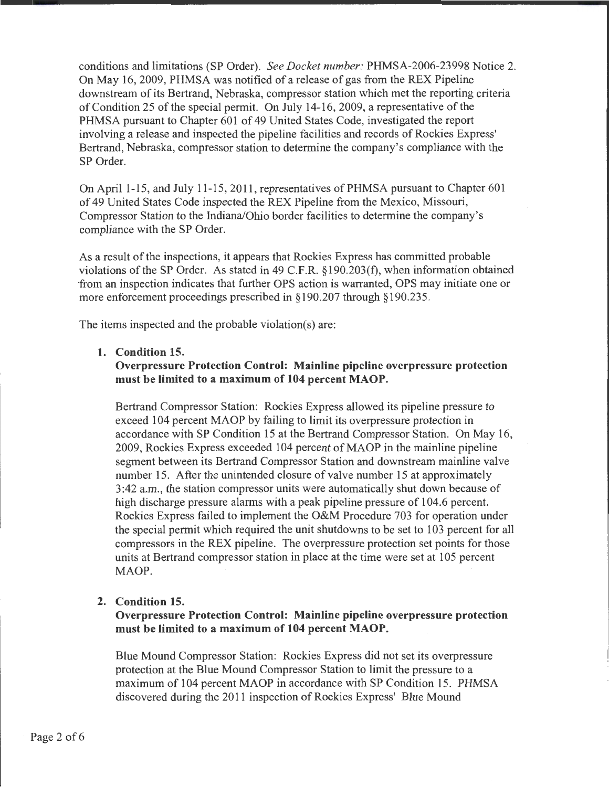conditions and limitations (SP Order). *See Docket number:* PHMSA-2006-23998 Notice 2. On May 16, 2009, PHMSA was notified of a release of gas from the REX Pipeline downstream of its Bertrand, Nebraska, compressor station which met the reporting criteria of Condition 25 of the special permit. On July 14-16, 2009, a representative of the PHMSA pursuant to Chapter 601 of 49 United States Code, investigated the report involving a release and inspected the pipeline facilities and records of Rockies Express' Bertrand, Nebraska, compressor station to determine the company's compliance with the SP Order.

On April1-15, and July 11-15,2011, representatives ofPHMSA pursuant to Chapter 601 of 49 United States Code inspected the REX Pipeline from the Mexico, Missouri, Compressor Station to the Indiana/Ohio border facilities to determine the company's compliance with the SP Order.

As a result of the inspections, it appears that Rockies Express has committed probable violations ofthe SP Order. As stated in 49 C.F.R. §190.203(f), when information obtained from an inspection indicates that further OPS action is warranted, OPS may initiate one or more enforcement proceedings prescribed in §190.207 through §190.235.

The items inspected and the probable violation(s) are:

#### **1. Condition 15.**

### **Overpressure Protection Control: Mainline pipeline overpressure protection must be limited to a maximum of 104 percent MAOP.**

Bertrand Compressor Station: Rockies Express allowed its pipeline pressure to exceed 104 percent MAOP by failing to limit its overpressure protection in accordance with SP Condition 15 at the Bertrand Compressor Station. On May 16, 2009, Rockies Express exceeded 104 percent of MAOP in the mainline pipeline segment between its Bertrand Compressor Station and downstream mainline valve number 15. After the unintended closure of valve number 15 at approximately 3:42a.m., the station compressor units were automatically shut down because of high discharge pressure alarms with a peak pipeline pressure of 104.6 percent. Rockies Express failed to implement the O&M Procedure 703 for operation under the special permit which required the unit shutdowns to be set to 103 percent for all compressors in the REX pipeline. The overpressure protection set points for those units at Bertrand compressor station in place at the time were set at 105 percent MAOP.

### **2. Condition 15.**

**Overpressure Protection Control: Mainline pipeline overpressure protection must be limited to a maximum of 104 percent MAOP.** 

Blue Mound Compressor Station: Rockies Express did not set its overpressure protection at the Blue Mound Compressor Station to limit the pressure to a maximum of 104 percent MAOP in accordance with SP Condition 15. PHMSA discovered during the 2011 inspection of Rockies Express' Blue Mound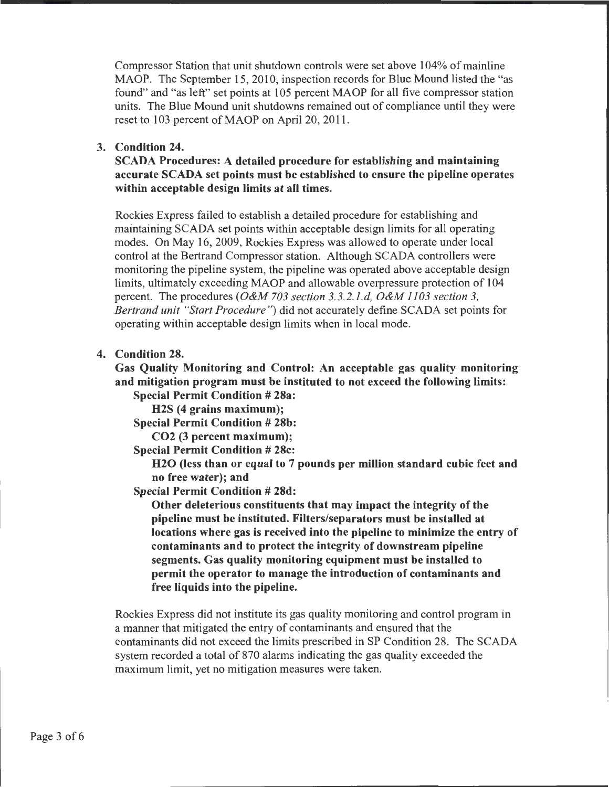Compressor Station that unit shutdown controls were set above 104% of mainline MAOP. The September 15, 2010, inspection records for Blue Mound listed the "as found" and "as left" set points at 105 percent MAOP for all five compressor station units. The Blue Mound unit shutdowns remained out of compliance until they were reset to 103 percent of MAOP on April 20, 2011.

### 3. Condition 24.

SCADA Procedures: A detailed procedure for establishing and maintaining accurate SCADA set points must be established to ensure the pipeline operates within acceptable design limits at all times.

Rockies Express failed to establish a detailed procedure for establishing and maintaining SCADA set points within acceptable design limits for all operating modes. On May 16, 2009, Rockies Express was allowed to operate under local control at the Bertrand Compressor station. Although SCADA controllers were monitoring the pipeline system, the pipeline was operated above acceptable design limits, ultimately exceeding MAOP and allowable overpressure protection of 104 percent. The procedures *(O&M 703 section 3.3.2.1.d, O&M 1103 section 3, Bertrand unit "Start Procedure"*) did not accurately define SCADA set points for operating within acceptable design limits when in local mode.

### 4. Condition 28.

Gas Quality Monitoring and Control: An acceptable gas quality monitoring and mitigation program must be instituted to not exceed the following limits: Special Permit Condition # 28a:

H2S (4 grains maximum);

Special Permit Condition # 28b:

C02 (3 percent maximum);

Special Permit Condition # 28c:

H20 (less than or equal to 7 pounds per million standard cubic feet and no free water); and

Special Permit Condition # 28d:

Other deleterious constituents that may impact the integrity of the pipeline must be instituted. Filters/separators must be installed at locations where gas is received into the pipeline to minimize the entry of contaminants and to protect the integrity of downstream pipeline segments. Gas quality monitoring equipment must be installed to permit the operator to manage the introduction of contaminants and free liquids into the pipeline.

Rockies Express did not institute its gas quality monitoring and control program in a manner that mitigated the entry of contaminants and ensured that the contaminants did not exceed the limits prescribed in SP Condition 28. The SCADA system recorded a total of 870 alarms indicating the gas quality exceeded the maximum limit, yet no mitigation measures were taken.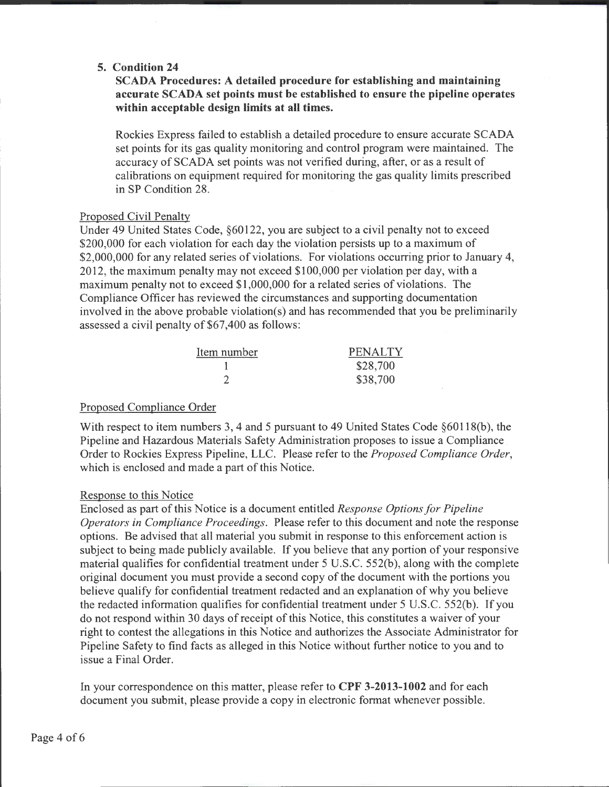## **5. Condition 24**

## **SCADA Procedures: A detailed procedure for establishing and maintaining accurate SCADA set points must be established to ensure the pipeline operates within acceptable design limits at all times.**

Rockies Express failed to establish a detailed procedure to ensure accurate SCAD A set points for its gas quality monitoring and control program were maintained. The accuracy of SCADA set points was not verified during, after, or as a result of calibrations on equipment required for monitoring the gas quality limits prescribed in SP Condition 28.

### Proposed Civil Penalty

Under 49 United States Code, §60122, you are subject to a civil penalty not to exceed \$200,000 for each violation for each day the violation persists up to a maximum of \$2,000,000 for any related series of violations. For violations occurring prior to January 4, 2012, the maximum penalty may not exceed \$100,000 per violation per day, with a maximum penalty not to exceed \$1,000,000 for a related series of violations. The Compliance Officer has reviewed the circumstances and supporting documentation involved in the above probable violation(s) and has recommended that you be preliminarily assessed a civil penalty of \$67,400 as follows:

| Item number | <b>PENALTY</b> |
|-------------|----------------|
|             | \$28,700       |
|             | \$38,700       |

### Proposed Compliance Order

With respect to item numbers 3, 4 and 5 pursuant to 49 United States Code §60118(b), the Pipeline and Hazardous Materials Safety Administration proposes to issue a Compliance Order to Rockies Express Pipeline, LLC. Please refer to the *Proposed Compliance Order,*  which is enclosed and made a part of this Notice.

### Response to this Notice

Enclosed as part of this Notice is a document entitled *Response Options for Pipeline Operators in Compliance Proceedings.* Please refer to this document and note the response options. Be advised that all material you submit in response to this enforcement action is subject to being made publicly available. If you believe that any portion of your responsive material qualifies for confidential treatment under 5 U.S.C. 552(b), along with the complete original document you must provide a second copy of the document with the portions you believe qualify for confidential treatment redacted and an explanation of why you believe the redacted information qualifies for confidential treatment under 5 U.S.C. 552(b). If you do not respond within 30 days of receipt of this Notice, this constitutes a waiver of your right to contest the allegations in this Notice and authorizes the Associate Administrator for Pipeline Safety to find facts as alleged in this Notice without further notice to you and to issue a Final Order.

In your correspondence on this matter, please refer to **CPF 3-2013-1002** and for each document you submit, please provide a copy in electronic format whenever possible.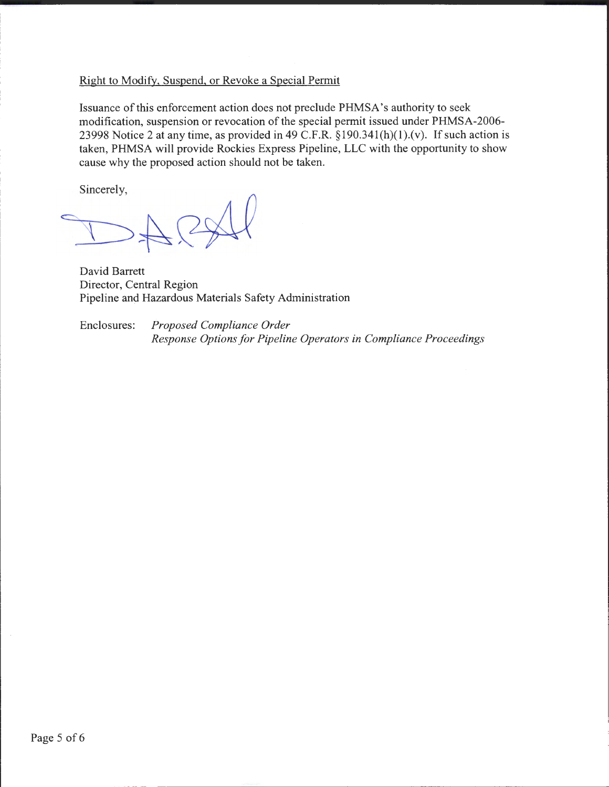### Right to Modify, Suspend, or Revoke a Special Permit

Issuance of this enforcement action does not preclude PHMSA's authority to seek modification, suspension or revocation of the special permit issued under PHMSA-2006- 23998 Notice 2 at any time, as provided in 49 C.F.R.  $\S 190.341(h)(1)$ . (v). If such action is taken, PHMSA will provide Rockies Express Pipeline, LLC with the opportunity to show cause why the proposed action should not be taken.

Sincerely,

~~~~

David Barrett Director, Central Region Pipeline and Hazardous Materials Safety Administration

Enclosures: *Proposed Compliance Order Response Options for Pipeline Operators in Compliance Proceedings*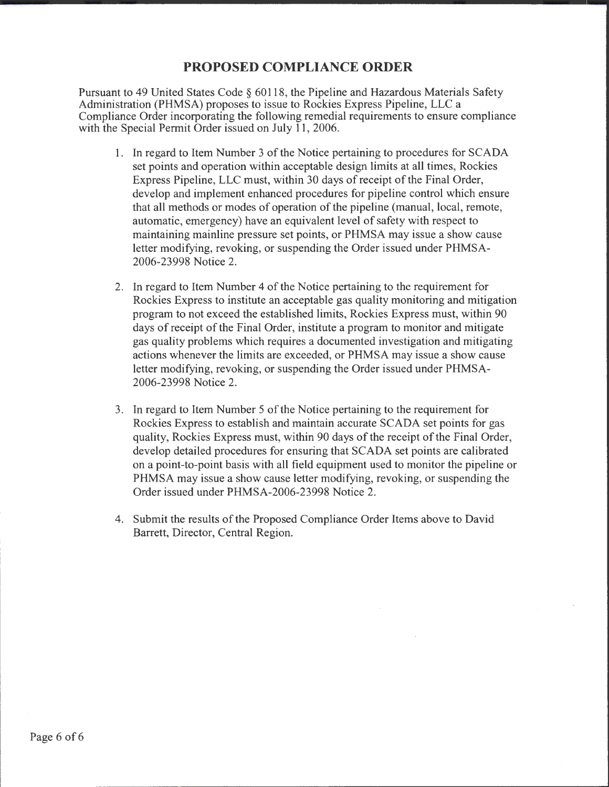# **PROPOSED COMPLIANCE ORDER**

Pursuant to 49 United States Code§ 60118, the Pipeline and Hazardous Materials Safety Administration (PHMSA) proposes to issue to Rockies Express Pipeline, LLC a Compliance Order incorporating the following remedial requirements to ensure compliance with the Special Permit Order issued on July 11, 2006.

- 1. In regard to Item Number 3 of the Notice pertaining to procedures for SCADA set points and operation within acceptable design limits at all times, Rockies Express Pipeline, LLC must, within 30 days of receipt of the Final Order, develop and implement enhanced procedures for pipeline control which ensure that all methods or modes of operation of the pipeline (manual, local, remote, automatic, emergency) have an equivalent level of safety with respect to maintaining mainline pressure set points, or PHMSA may issue a show cause letter modifying, revoking, or suspending the Order issued under PHMSA-2006-23998 Notice 2.
- 2. In regard to Item Number 4 of the Notice pertaining to the requirement for Rockies Express to institute an acceptable gas quality monitoring and mitigation program to not exceed the established limits, Rockies Express must, within 90 days of receipt of the Final Order, institute a program to monitor and mitigate gas quality problems which requires a documented investigation and mitigating actions whenever the limits are exceeded, or PHMSA may issue a show cause letter modifying, revoking, or suspending the Order issued under PHMSA-2006-23998 Notice 2.
- 3. In regard to Item Number 5 of the Notice pertaining to the requirement for Rockies Express to establish and maintain accurate SCADA set points for gas quality, Rockies Express must, within 90 days of the receipt of the Final Order, develop detailed procedures for ensuring that SCADA set points are calibrated on a point-to-point basis with all field equipment used to monitor the pipeline or PHMSA may issue a show cause letter modifying, revoking, or suspending the Order issued under PHMSA-2006-23998 Notice 2.
- 4. Submit the results of the Proposed Compliance Order Items above to David Barrett, Director, Central Region.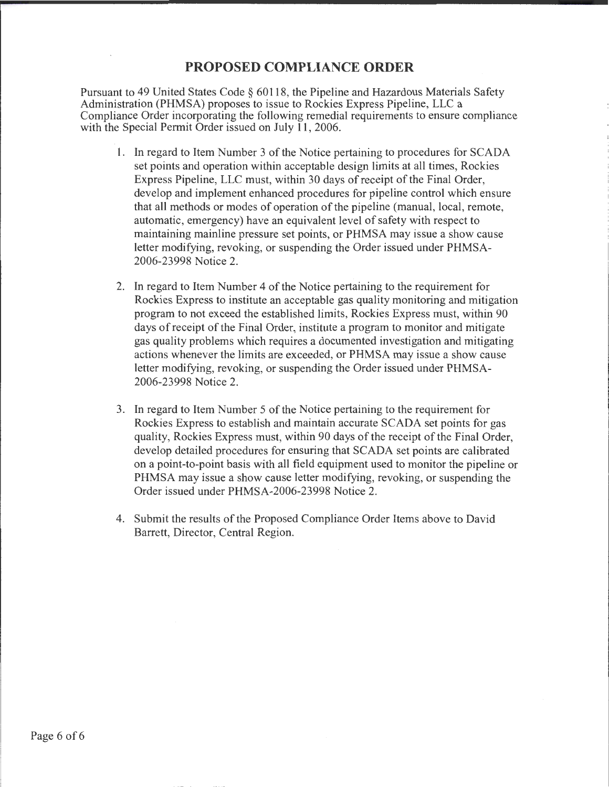# **PROPOSED COMPLIANCE ORDER**

Pursuant to 49 United States Code § 60118, the Pipeline and Hazardous Materials Safety Administration (PHMSA) proposes to issue to Rockies Express Pipeline, LLC a Compliance Order incorporating the following remedial requirements to ensure compliance with the Special Permit Order issued on July 11, 2006.

- 1. In regard to Item Number 3 of the Notice pertaining to procedures for SCADA set points and operation within acceptable design limits at all times, Rockies Express Pipeline, LLC must, within 30 days of receipt of the Final Order, develop and implement enhanced procedures for pipeline control which ensure that all methods or modes of operation of the pipeline (manual, local, remote, automatic, emergency) have an equivalent level of safety with respect to maintaining mainline pressure set points, or PHMSA may issue a show cause letter modifying, revoking, or suspending the Order issued under PHMSA-2006-23998 Notice 2.
- 2. In regard to Item Number 4 of the Notice pertaining to the requirement for Rockies Express to institute an acceptable gas quality monitoring and mitigation program to not exceed the established limits, Rockies Express must, within 90 days of receipt of the Final Order, institute a program to monitor and mitigate gas quality problems which requires a documented investigation and mitigating actions whenever the limits are exceeded, or PHMSA may issue a show cause letter modifying, revoking, or suspending the Order issued under PHMSA-2006-23998 Notice 2.
- 3. In regard to Item Number 5 of the Notice pertaining to the requirement for Rockies Express to establish and maintain accurate SCADA set points for gas quality, Rockies Express must, within 90 days of the receipt of the Final Order, develop detailed procedures for ensuring that SCADA set points are calibrated on a point-to-point basis with all field equipment used to monitor the pipeline or PHMSA may issue a show cause letter modifying, revoking, or suspending the Order issued under PHMSA-2006-23998 Notice 2.
- 4. Submit the results of the Proposed Compliance Order Items above to David Barrett, Director, Central Region.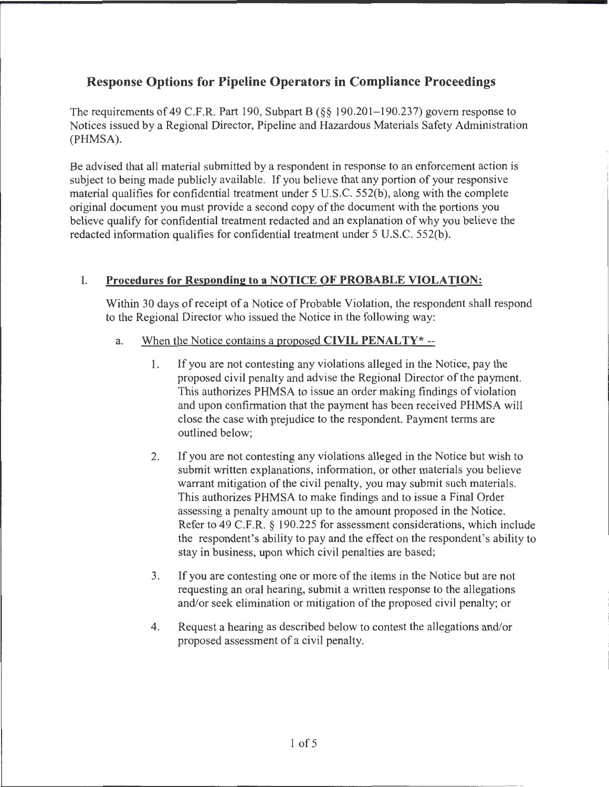# **Response Options for Pipeline Operators in Compliance Proceedings**

The requirements of 49 C.F.R. Part 190, Subpart B (§§ 190.201–190.237) govern response to Notices issued by a Regional Director, Pipeline and Hazardous Materials Safety Administration (PHMSA).

Be advised that all material submitted by a respondent in response to an enforcement action is subject to being made publicly available. If you believe that any portion of your responsive material qualifies for confidential treatment under 5 U.S.C. 552(b), along with the complete original document you must provide a second copy of the document with the portions you believe qualify for confidential treatment redacted and an explanation of why you believe the redacted information qualifies for confidential treatment under 5 U.S.C. 552(b).

# I. **Procedures for Responding to a NOTICE OF PROBABLE VIOLATION:**

Within 30 days of receipt of a Notice of Probable Violation, the respondent shall respond to the Regional Director who issued the Notice in the following way:

- a. When the Notice contains a proposed **CIVIL PENALTY\*** --
	- 1. If you are not contesting any violations alleged in the Notice, pay the proposed civil penalty and advise the Regional Director of the payment. This authorizes PHMSA to issue an order making findings of violation and upon confirmation that the payment has been received PHMSA will close the case with prejudice to the respondent. Payment terms are outlined below;
	- 2. If you are not contesting any violations alleged in the Notice but wish to submit written explanations, information, or other materials you believe warrant mitigation of the civil penalty, you may submit such materials. This authorizes PHMSA to make findings and to issue a Final Order assessing a penalty amount up to the amount proposed in the Notice. Refer to 49 C.F.R. § 190.225 for assessment considerations, which include the respondent's ability to pay and the effect on the respondent's ability to stay in business, upon which civil penalties are based;
	- 3. If you are contesting one or more of the items in the Notice but are not requesting an oral hearing, submit a written response to the allegations and/or seek elimination or mitigation of the proposed civil penalty; or
	- 4. Request a hearing as described below to contest the allegations and/or proposed assessment of a civil penalty.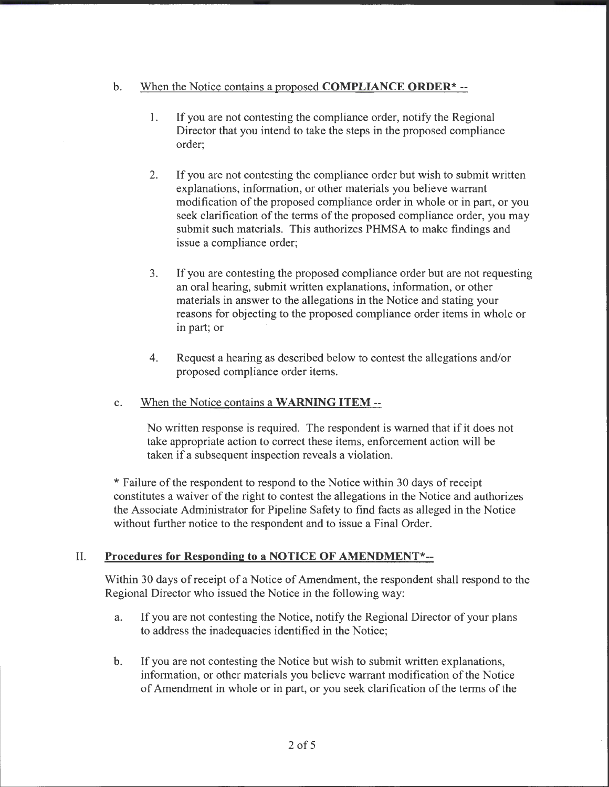## b. When the Notice contains a proposed **COMPLIANCE ORDER\*--**

- 1. If you are not contesting the compliance order, notify the Regional Director that you intend to take the steps in the proposed compliance order;
- 2. If you are not contesting the compliance order but wish to submit written explanations, information, or other materials you believe warrant modification of the proposed compliance order in whole or in part, or you seek clarification of the terms of the proposed compliance order, you may submit such materials. This authorizes PHMSA to make findings and issue a compliance order;
- 3. If you are contesting the proposed compliance order but are not requesting an oral hearing, submit written explanations, information, or other materials in answer to the allegations in the Notice and stating your reasons for objecting to the proposed compliance order items in whole or in part; or
- 4. Request a hearing as described below to contest the allegations and/or proposed compliance order items.

### c. When the Notice contains a **WARNING ITEM** --

No written response is required. The respondent is warned that if it does not take appropriate action to correct these items, enforcement action will be taken if a subsequent inspection reveals a violation.

\* Failure of the respondent to respond to the Notice within 30 days of receipt constitutes a waiver of the right to contest the allegations in the Notice and authorizes the Associate Administrator for Pipeline Safety to find facts as alleged in the Notice without further notice to the respondent and to issue a Final Order.

### II. **Procedures for Responding to a NOTICE OF AMENDMENT\*--**

Within 30 days of receipt of a Notice of Amendment, the respondent shall respond to the Regional Director who issued the Notice in the following way:

- a. If you are not contesting the Notice, notify the Regional Director of your plans to address the inadequacies identified in the Notice;
- b. If you are not contesting the Notice but wish to submit written explanations, information, or other materials you believe warrant modification of the Notice of Amendment in whole or in part, or you seek clarification of the terms of the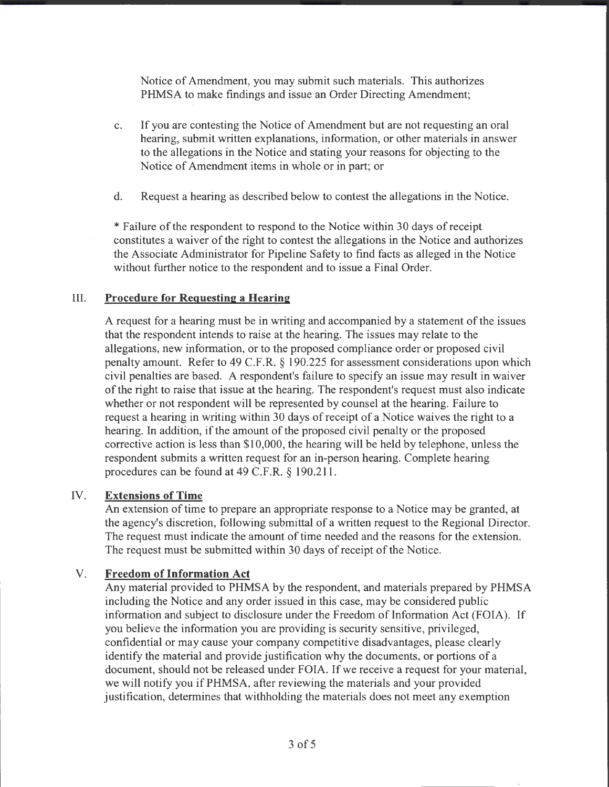Notice of Amendment, you may submit such materials. This authorizes PHMSA to make findings and issue an Order Directing Amendment;

- c. If you are contesting the Notice of Amendment but are not requesting an oral hearing, submit written explanations, information, or other materials in answer to the allegations in the Notice and stating your reasons for objecting to the Notice of Amendment items in whole or in part; or
- d. Request a hearing as described below to contest the allegations in the Notice.

\*Failure ofthe respondent to respond to the Notice within 30 days of receipt constitutes a waiver of the right to contest the allegations in the Notice and authorizes the Associate Administrator for Pipeline Safety to find facts as alleged in the Notice without further notice to the respondent and to issue a Final Order.

### III. **Procedure for Requesting a Hearing**

A request for a hearing must be in writing and accompanied by a statement of the issues that the respondent intends to raise at the hearing. The issues may relate to the allegations, new information, or to the proposed compliance order or proposed civil penalty amount. Refer to 49 C.F.R. § 190.225 for assessment considerations upon which civil penalties are based. A respondent's failure to specify an issue may result in waiver of the right to raise that issue at the hearing. The respondent's request must also indicate whether or not respondent will be represented by counsel at the hearing. Failure to request a hearing in writing within 30 days of receipt of a Notice waives the right to a hearing. In addition, if the amount of the proposed civil penalty or the proposed corrective action is less than \$10,000, the hearing will be held by telephone, unless the respondent submits a written request for an in-person hearing. Complete hearing procedures can be found at 49 C.F.R. § 190.211.

### IV. **Extensions of Time**

An extension of time to prepare an appropriate response to a Notice may be granted, at the agency's discretion, following submittal of a written request to the Regional Director. The request must indicate the amount of time needed and the reasons for the extension. The request must be submitted within 30 days of receipt of the Notice.

### V. **Freedom of Information Act**

Any material provided to PHMSA by the respondent, and materials prepared by PHMSA including the Notice and any order issued in this case, may be considered public information and subject to disclosure under the Freedom of Information Act (FOIA). If you believe the information you are providing is security sensitive, privileged, confidential or may cause your company competitive disadvantages, please clearly identify the material and provide justification why the documents, or portions of a document, should not be released under FOIA. If we receive a request for your material, we will notify you if PHMSA, after reviewing the materials and your provided justification, determines that withholding the materials does not meet any exemption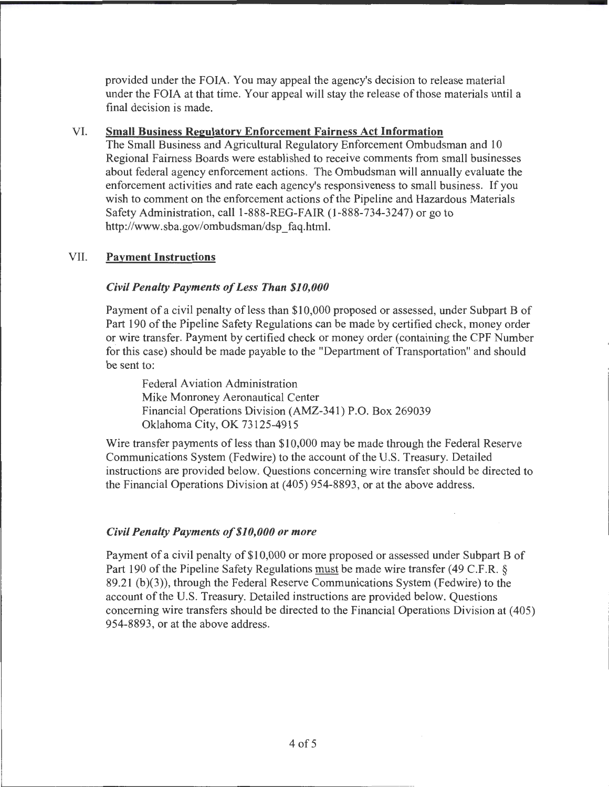provided under the FOIA. You may appeal the agency's decision to release material under the FOIA at that time. Your appeal will stay the release of those materials until a final decision is made.

### VI. **Small Business Regulatory Enforcement Fairness Act Information**

The Small Business and Agricultural Regulatory Enforcement Ombudsman and 10 Regional Fairness Boards were established to receive comments from small businesses about federal agency enforcement actions. The Ombudsman will annually evaluate the enforcement activities and rate each agency's responsiveness to small business. If you wish to comment on the enforcement actions of the Pipeline and Hazardous Materials Safety Administration, call 1-888-REG-FAIR (1-888-734-3247) or go to http://www .sba.gov/ombudsman/dsp \_faq.html.

## VII. **Payment Instructions**

### *Civil Penalty Payments of Less Than \$10,000*

Payment of a civil penalty of less than \$10,000 proposed or assessed, under Subpart B of Part 190 of the Pipeline Safety Regulations can be made by certified check, money order or wire transfer. Payment by certified check or money order (containing the CPF Number for this case) should be made payable to the "Department of Transportation" and should be sent to:

Federal Aviation Administration Mike Monroney Aeronautical Center Financial Operations Division (AMZ-341) P.O. Box 269039 Oklahoma City, OK 73125-4915

Wire transfer payments of less than \$10,000 may be made through the Federal Reserve Communications System (Fedwire) to the account of the U.S. Treasury. Detailed instructions are provided below. Questions concerning wire transfer should be directed to the Financial Operations Division at (405) 954-8893, or at the above address.

### *Civil Penalty Payments of \$10,000 or more*

Payment of a civil penalty of \$10,000 or more proposed or assessed under Subpart B of Part 190 of the Pipeline Safety Regulations must be made wire transfer (49 C.F.R. § 89.21 (b)(3)), through the Federal Reserve Communications System (Fedwire) to the account of the U.S. Treasury. Detailed instructions are provided below. Questions concerning wire transfers should be directed to the Financial Operations Division at ( 405) 954-8893, or at the above address.